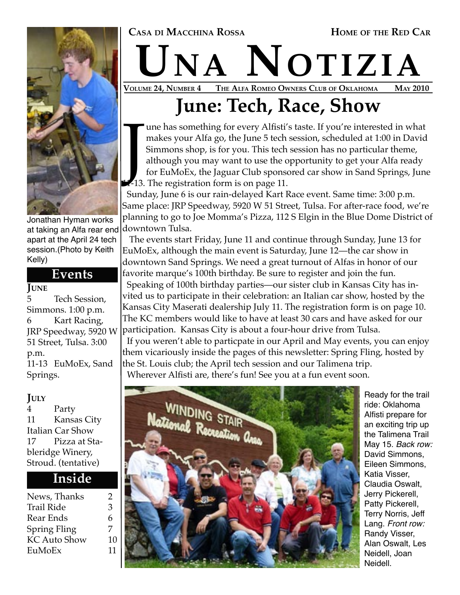

Jonathan Hyman works at taking an Alfa rear end downtown Tulsa. apart at the April 24 tech session.(Photo by Keith Kelly)

#### **Events**

#### **JUNE**

5 Tech Session, Simmons. 1:00 p.m. 6 Kart Racing, JRP Speedway, 5920 W 51 Street, Tulsa. 3:00 p.m. 11-13 EuMoEx, Sand Springs.

**JULY** Party 11 Kansas City Italian Car Show 17 Pizza at Stableridge Winery, Stroud. (tentative)

#### **Inside**

| News, Thanks      | 2  |
|-------------------|----|
| <b>Trail Ride</b> | 3  |
| Rear Ends         | 6  |
| Spring Fling      | 7  |
| KC Auto Show      | 10 |
| EuMoEx            | 11 |

## $\rm \bf UNA$   $\rm \bf NOTIZIA$ <br>VOLUME 24, NUMBER 4 THE ALFA ROMEO OWNERS CLUB OF OKLAHOMA MAY 2010 THE ALFA ROMEO OWNERS CLUB OF OKLAHOMA

## **June: Tech, Race, Show**

The registration of the June 5 tech is<br>
Simmons shop, is for you. This tech is<br>
Simmons shop, is for you. This tech<br>
although you may want to use the of<br>
for EuMoEx, the Jaguar Club sponse<br>
11. Supplying for the contration une has something for every Alfisti's taste. If you're interested in what makes your Alfa go, the June 5 tech session, scheduled at 1:00 in David Simmons shop, is for you. This tech session has no particular theme, although you may want to use the opportunity to get your Alfa ready for EuMoEx, the Jaguar Club sponsored car show in Sand Springs, June

 Sunday, June 6 is our rain-delayed Kart Race event. Same time: 3:00 p.m. Same place: JRP Speedway, 5920 W 51 Street, Tulsa. For after-race food, we're planning to go to Joe Momma's Pizza, 112 S Elgin in the Blue Dome District of

 The events start Friday, June 11 and continue through Sunday, June 13 for EuMoEx, although the main event is Saturday, June 12—the car show in downtown Sand Springs. We need a great turnout of Alfas in honor of our favorite marque's 100th birthday. Be sure to register and join the fun. Speaking of 100th birthday parties—our sister club in Kansas City has invited us to participate in their celebration: an Italian car show, hosted by the Kansas City Maserati dealership July 11. The registration form is on page 10. The KC members would like to have at least 30 cars and have asked for our participation. Kansas City is about a four-hour drive from Tulsa. If you weren't able to particpate in our April and May events, you can enjoy

them vicariously inside the pages of this newsletter: Spring Fling, hosted by the St. Louis club; the April tech session and our Talimena trip. Wherever Alfisti are, there's fun! See you at a fun event soon.



Ready for the trail ride: Oklahoma Alfisti prepare for an exciting trip up the Talimena Trail May 15. Back row: David Simmons, Eileen Simmons, Katia Visser, Claudia Oswalt, Jerry Pickerell, Patty Pickerell, Terry Norris, Jeff Lang. Front row: Randy Visser, Alan Oswalt, Les Neidell, Joan Neidell.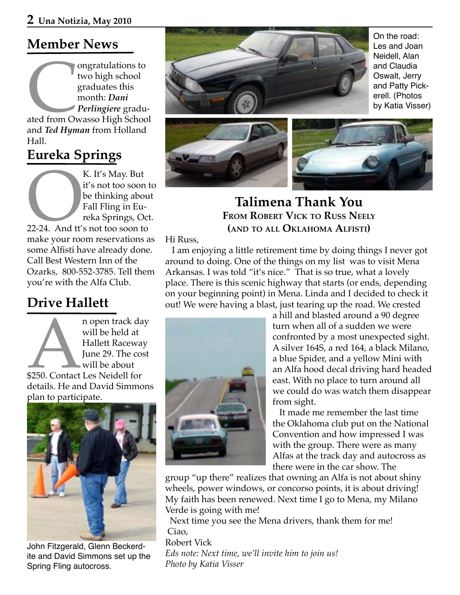### **Member News**

ongratulations to<br>two high school<br>graduates this<br>month: *Dani*<br>Perlingiere graduated from Owasso High Schoo<br>and Ted Human from Holland two high school graduates this month: *Dani Perlingiere* graduated from Owasso High School and *Ted Hyman* from Holland Hall.

### **Eureka Springs**

K. It's May. But<br>
it's not too soon<br>
be thinking about<br>
Fall Fling in Eureka Springs, O<br>
22-24. And tt's not too soon to<br>
make your room reservations it's not too soon to be thinking about Fall Fling in Eureka Springs, Oct. 22-24. And tt's not too soon to make your room reservations as some Alfisti have already done. Call Best Western Inn of the Ozarks, 800-552-3785. Tell them you're with the Alfa Club.

### **Drive Hallett**

n open track day<br>
will be held at<br>
Hallett Raceway<br>
June 29. The cost<br>
will be about<br>
\$250. Contact Les Neidell for<br>
details He and David Simmons will be held at Hallett Raceway June 29. The cost will be about \$250. Contact Les Neidell for details. He and David Simmons plan to participate.



John Fitzgerald, Glenn Beckerdite and David Simmons set up the Spring Fling autocross.



On the road: Les and Joan Neidell, Alan and Claudia Oswalt, Jerry and Patty Pickerell. (Photos by Katia Visser)



### **Talimena Thank You FROM ROBERT VICK TO RUSS NEELY (AND TO ALL OKLAHOMA ALFISTI)**

#### Hi Russ,

 I am enjoying a little retirement time by doing things I never got around to doing. One of the things on my list was to visit Mena Arkansas. I was told "it's nice." That is so true, what a lovely place. There is this scenic highway that starts (or ends, depending on your beginning point) in Mena. Linda and I decided to check it out! We were having a blast, just tearing up the road. We crested



a hill and blasted around a 90 degree turn when all of a sudden we were confronted by a most unexpected sight. A silver 164S, a red 164, a black Milano, a blue Spider, and a yellow Mini with an Alfa hood decal driving hard headed east. With no place to turn around all we could do was watch them disappear from sight.

 It made me remember the last time the Oklahoma club put on the National Convention and how impressed I was with the group. There were as many Alfas at the track day and autocross as there were in the car show. The

group "up there" realizes that owning an Alfa is not about shiny wheels, power windows, or concorso points, it is about driving! My faith has been renewed. Next time I go to Mena, my Milano Verde is going with me!

 Next time you see the Mena drivers, thank them for me! Ciao,

Robert Vick *Eds note: Next time, we'll invite him to join us! Photo by Katia Visser*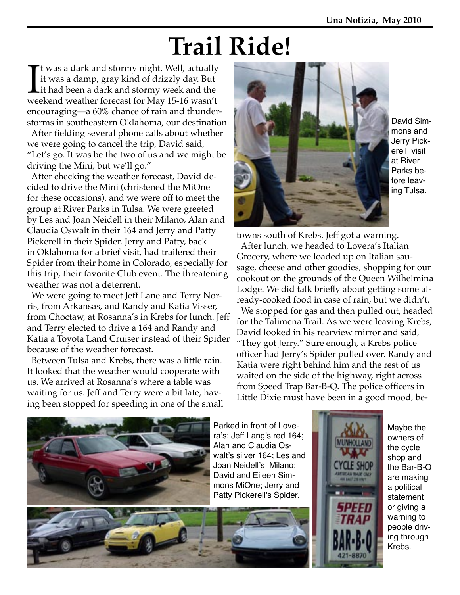# **Trail Ride!**

If was a dark and stormy night. Well, actually<br>it was a damp, gray kind of drizzly day. But<br>it had been a dark and stormy week and the<br>weekend weather forecast for May 15-16 wasn't t was a dark and stormy night. Well, actually it was a damp, gray kind of drizzly day. But Lit had been a dark and stormy week and the encouraging—a 60% chance of rain and thunderstorms in southeastern Oklahoma, our destination.

 After fielding several phone calls about whether we were going to cancel the trip, David said, "Let's go. It was be the two of us and we might be driving the Mini, but we'll go."

 After checking the weather forecast, David decided to drive the Mini (christened the MiOne for these occasions), and we were off to meet the group at River Parks in Tulsa. We were greeted by Les and Joan Neidell in their Milano, Alan and Claudia Oswalt in their 164 and Jerry and Patty Pickerell in their Spider. Jerry and Patty, back in Oklahoma for a brief visit, had trailered their Spider from their home in Colorado, especially for this trip, their favorite Club event. The threatening weather was not a deterrent.

 We were going to meet Jeff Lane and Terry Norris, from Arkansas, and Randy and Katia Visser, from Choctaw, at Rosanna's in Krebs for lunch. Jeff and Terry elected to drive a 164 and Randy and Katia a Toyota Land Cruiser instead of their Spider because of the weather forecast.

 Between Tulsa and Krebs, there was a little rain. It looked that the weather would cooperate with us. We arrived at Rosanna's where a table was waiting for us. Jeff and Terry were a bit late, having been stopped for speeding in one of the small



David Simmons and Jerry Pickerell visit at River Parks before leaving Tulsa.

towns south of Krebs. Jeff got a warning. After lunch, we headed to Lovera's Italian Grocery, where we loaded up on Italian sausage, cheese and other goodies, shopping for our cookout on the grounds of the Queen Wilhelmina Lodge. We did talk briefly about getting some already-cooked food in case of rain, but we didn't. We stopped for gas and then pulled out, headed for the Talimena Trail. As we were leaving Krebs, David looked in his rearview mirror and said, "They got Jerry." Sure enough, a Krebs police officer had Jerry's Spider pulled over. Randy and Katia were right behind him and the rest of us waited on the side of the highway, right across from Speed Trap Bar-B-Q. The police officers in Little Dixie must have been in a good mood, be-





Maybe the owners of the cycle shop and the Bar-B-Q are making a political statement or giving a warning to people driving through Krebs.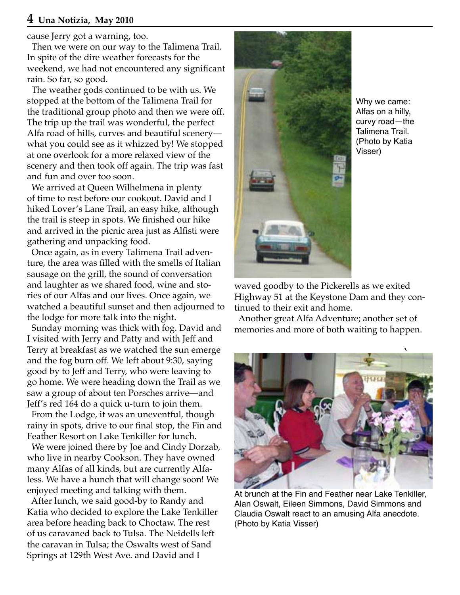#### **4 Una Notizia, May 2010**

cause Jerry got a warning, too.

 Then we were on our way to the Talimena Trail. In spite of the dire weather forecasts for the weekend, we had not encountered any significant rain. So far, so good.

 The weather gods continued to be with us. We stopped at the bottom of the Talimena Trail for the traditional group photo and then we were off. The trip up the trail was wonderful, the perfect Alfa road of hills, curves and beautiful scenery what you could see as it whizzed by! We stopped at one overlook for a more relaxed view of the scenery and then took off again. The trip was fast and fun and over too soon.

 We arrived at Queen Wilhelmena in plenty of time to rest before our cookout. David and I hiked Lover's Lane Trail, an easy hike, although the trail is steep in spots. We finished our hike and arrived in the picnic area just as Alfisti were gathering and unpacking food.

 Once again, as in every Talimena Trail adventure, the area was filled with the smells of Italian sausage on the grill, the sound of conversation and laughter as we shared food, wine and stories of our Alfas and our lives. Once again, we watched a beautiful sunset and then adjourned to the lodge for more talk into the night.

 Sunday morning was thick with fog. David and I visited with Jerry and Patty and with Jeff and Terry at breakfast as we watched the sun emerge and the fog burn off. We left about 9:30, saying good by to Jeff and Terry, who were leaving to go home. We were heading down the Trail as we saw a group of about ten Porsches arrive—and Jeff's red 164 do a quick u-turn to join them.

 From the Lodge, it was an uneventful, though rainy in spots, drive to our final stop, the Fin and Feather Resort on Lake Tenkiller for lunch.

 We were joined there by Joe and Cindy Dorzab, who live in nearby Cookson. They have owned many Alfas of all kinds, but are currently Alfaless. We have a hunch that will change soon! We enjoyed meeting and talking with them.

 After lunch, we said good-by to Randy and Katia who decided to explore the Lake Tenkiller area before heading back to Choctaw. The rest of us caravaned back to Tulsa. The Neidells left the caravan in Tulsa; the Oswalts west of Sand Springs at 129th West Ave. and David and I



Why we came: Alfas on a hilly, curvy road—the Talimena Trail. (Photo by Katia Visser)

waved goodby to the Pickerells as we exited Highway 51 at the Keystone Dam and they continued to their exit and home.

 Another great Alfa Adventure; another set of memories and more of both waiting to happen.



At brunch at the Fin and Feather near Lake Tenkiller, Alan Oswalt, Eileen Simmons, David Simmons and Claudia Oswalt react to an amusing Alfa anecdote. (Photo by Katia Visser)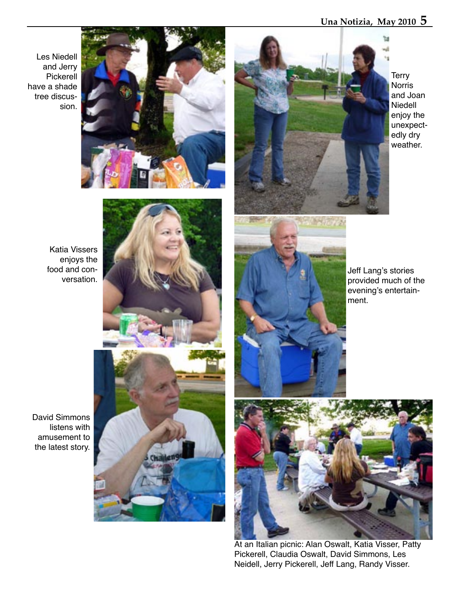#### **Una Notizia, May 2010 5**

Les Niedell and Jerry Pickerell have a shade tree discussion.





**Terry** Norris and Joan Niedell enjoy the unexpectedly dry weather.

Katia Vissers enjoys the food and conversation.



MAG72

Jeff Lang's stories provided much of the evening's entertainment.

David Simmons listens with amusement to the latest story.





At an Italian picnic: Alan Oswalt, Katia Visser, Patty Pickerell, Claudia Oswalt, David Simmons, Les Neidell, Jerry Pickerell, Jeff Lang, Randy Visser.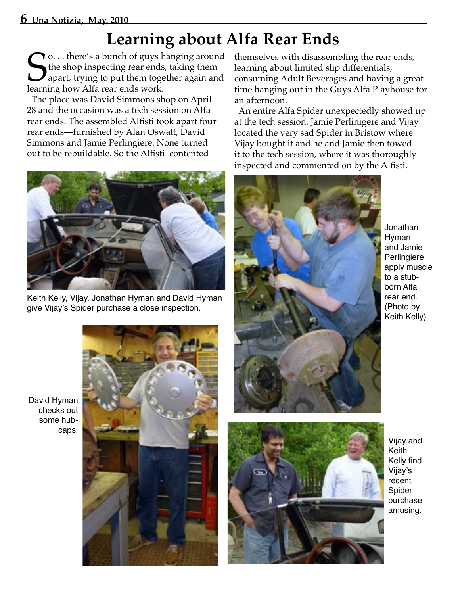### **Learning about Alfa Rear Ends**

**S** o. . . there's a bunch of guys h<br>the shop inspecting rear ends,<br>apart, trying to put them toge<br>learning how Alfa rear ends work. **T** o... there's a bunch of guys hanging around the shop inspecting rear ends, taking them apart, trying to put them together again and

 The place was David Simmons shop on April 28 and the occasion was a tech session on Alfa rear ends. The assembled Alfisti took apart four rear ends—furnished by Alan Oswalt, David Simmons and Jamie Perlingiere. None turned out to be rebuildable. So the Alfisti contented



Keith Kelly, Vijay, Jonathan Hyman and David Hyman give Vijay's Spider purchase a close inspection.

themselves with disassembling the rear ends, learning about limited slip differentials, consuming Adult Beverages and having a great time hanging out in the Guys Alfa Playhouse for an afternoon.

 An entire Alfa Spider unexpectedly showed up at the tech session. Jamie Perlinigere and Vijay located the very sad Spider in Bristow where Vijay bought it and he and Jamie then towed it to the tech session, where it was thoroughly inspected and commented on by the Alfisti.



Jonathan Hyman and Jamie **Perlingiere** apply muscle to a stubborn Alfa rear end. (Photo by Keith Kelly)

David Hyman checks out some hubcaps.





Vijay and Keith Kelly find Vijay's recent Spider purchase amusing.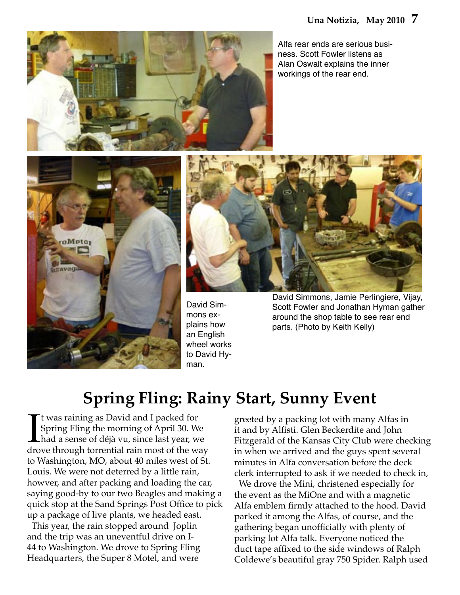

Alfa rear ends are serious business. Scott Fowler listens as Alan Oswalt explains the inner workings of the rear end.





David Simmons explains how an English wheel works to David Hyman.

David Simmons, Jamie Perlingiere, Vijay, Scott Fowler and Jonathan Hyman gather around the shop table to see rear end parts. (Photo by Keith Kelly)

### **Spring Fling: Rainy Start, Sunny Event**

It was raining as David and I packed for<br>Spring Fling the morning of April 30. We<br>had a sense of déjà vu, since last year, we<br>drove through torrential rain most of the way t was raining as David and I packed for Spring Fling the morning of April 30. We had a sense of déjà vu, since last year, we to Washington, MO, about 40 miles west of St. Louis. We were not deterred by a little rain, howver, and after packing and loading the car, saying good-by to our two Beagles and making a quick stop at the Sand Springs Post Office to pick up a package of live plants, we headed east.

 This year, the rain stopped around Joplin and the trip was an uneventful drive on I-44 to Washington. We drove to Spring Fling Headquarters, the Super 8 Motel, and were

greeted by a packing lot with many Alfas in it and by Alfisti. Glen Beckerdite and John Fitzgerald of the Kansas City Club were checking in when we arrived and the guys spent several minutes in Alfa conversation before the deck clerk interrupted to ask if we needed to check in,

 We drove the Mini, christened especially for the event as the MiOne and with a magnetic Alfa emblem firmly attached to the hood. David parked it among the Alfas, of course, and the gathering began unofficially with plenty of parking lot Alfa talk. Everyone noticed the duct tape affixed to the side windows of Ralph Coldewe's beautiful gray 750 Spider. Ralph used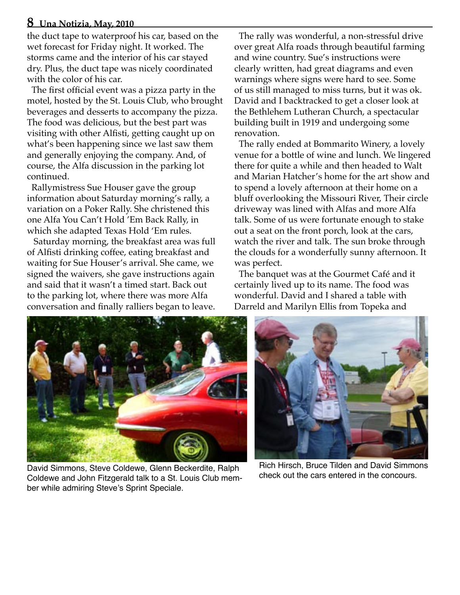#### **8 Una Notizia, May, 2010**

the duct tape to waterproof his car, based on the wet forecast for Friday night. It worked. The storms came and the interior of his car stayed dry. Plus, the duct tape was nicely coordinated with the color of his car.

 The first official event was a pizza party in the motel, hosted by the St. Louis Club, who brought beverages and desserts to accompany the pizza. The food was delicious, but the best part was visiting with other Alfisti, getting caught up on what's been happening since we last saw them and generally enjoying the company. And, of course, the Alfa discussion in the parking lot continued.

 Rallymistress Sue Houser gave the group information about Saturday morning's rally, a variation on a Poker Rally. She christened this one Alfa You Can't Hold 'Em Back Rally, in which she adapted Texas Hold 'Em rules.

 Saturday morning, the breakfast area was full of Alfisti drinking coffee, eating breakfast and waiting for Sue Houser's arrival. She came, we signed the waivers, she gave instructions again and said that it wasn't a timed start. Back out to the parking lot, where there was more Alfa conversation and finally ralliers began to leave.

 The rally was wonderful, a non-stressful drive over great Alfa roads through beautiful farming and wine country. Sue's instructions were clearly written, had great diagrams and even warnings where signs were hard to see. Some of us still managed to miss turns, but it was ok. David and I backtracked to get a closer look at the Bethlehem Lutheran Church, a spectacular building built in 1919 and undergoing some renovation.

 The rally ended at Bommarito Winery, a lovely venue for a bottle of wine and lunch. We lingered there for quite a while and then headed to Walt and Marian Hatcher's home for the art show and to spend a lovely afternoon at their home on a bluff overlooking the Missouri River, Their circle driveway was lined with Alfas and more Alfa talk. Some of us were fortunate enough to stake out a seat on the front porch, look at the cars, watch the river and talk. The sun broke through the clouds for a wonderfully sunny afternoon. It was perfect.

 The banquet was at the Gourmet Café and it certainly lived up to its name. The food was wonderful. David and I shared a table with Darreld and Marilyn Ellis from Topeka and



David Simmons, Steve Coldewe, Glenn Beckerdite, Ralph Coldewe and John Fitzgerald talk to a St. Louis Club member while admiring Steve's Sprint Speciale.



Rich Hirsch, Bruce Tilden and David Simmons check out the cars entered in the concours.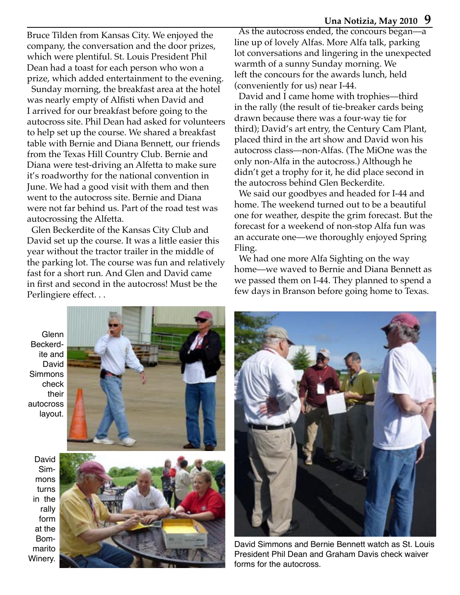#### **Una Notizia, May 2010 9**

Bruce Tilden from Kansas City. We enjoyed the company, the conversation and the door prizes, which were plentiful. St. Louis President Phil Dean had a toast for each person who won a prize, which added entertainment to the evening.

 Sunday morning, the breakfast area at the hotel was nearly empty of Alfisti when David and I arrived for our breakfast before going to the autocross site. Phil Dean had asked for volunteers to help set up the course. We shared a breakfast table with Bernie and Diana Bennett, our friends from the Texas Hill Country Club. Bernie and Diana were test-driving an Alfetta to make sure it's roadworthy for the national convention in June. We had a good visit with them and then went to the autocross site. Bernie and Diana were not far behind us. Part of the road test was autocrossing the Alfetta.

 Glen Beckerdite of the Kansas City Club and David set up the course. It was a little easier this year without the tractor trailer in the middle of the parking lot. The course was fun and relatively fast for a short run. And Glen and David came in first and second in the autocross! Must be the Perlingiere effect. . .

 As the autocross ended, the concours began—a line up of lovely Alfas. More Alfa talk, parking lot conversations and lingering in the unexpected warmth of a sunny Sunday morning. We left the concours for the awards lunch, held (conveniently for us) near I-44.

 David and I came home with trophies—third in the rally (the result of tie-breaker cards being drawn because there was a four-way tie for third); David's art entry, the Century Cam Plant, placed third in the art show and David won his autocross class—non-Alfas. (The MiOne was the only non-Alfa in the autocross.) Although he didn't get a trophy for it, he did place second in the autocross behind Glen Beckerdite.

 We said our goodbyes and headed for I-44 and home. The weekend turned out to be a beautiful one for weather, despite the grim forecast. But the forecast for a weekend of non-stop Alfa fun was an accurate one—we thoroughly enjoyed Spring Fling.

 We had one more Alfa Sighting on the way home—we waved to Bernie and Diana Bennett as we passed them on I-44. They planned to spend a few days in Branson before going home to Texas.

Glenn Beckerdite and David Simmons check their autocross layout.



David Simmons turns in the rally form at the Bommarito Winery.





David Simmons and Bernie Bennett watch as St. Louis President Phil Dean and Graham Davis check waiver forms for the autocross.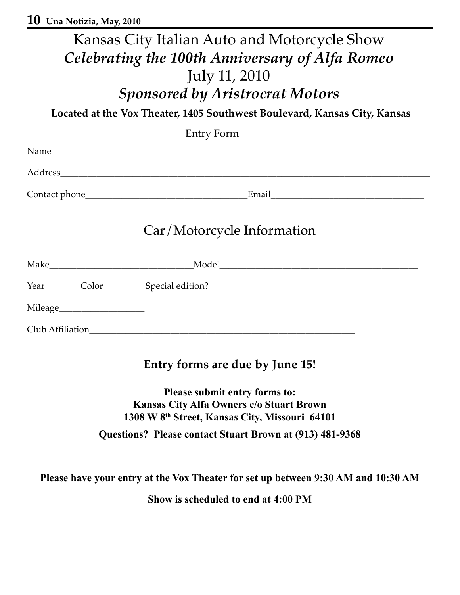|                               | Kansas City Italian Auto and Motorcycle Show                                                                                                                                                                                   |  |  |
|-------------------------------|--------------------------------------------------------------------------------------------------------------------------------------------------------------------------------------------------------------------------------|--|--|
|                               | Celebrating the 100th Anniversary of Alfa Romeo                                                                                                                                                                                |  |  |
|                               |                                                                                                                                                                                                                                |  |  |
|                               | July 11, 2010                                                                                                                                                                                                                  |  |  |
|                               | <b>Sponsored by Aristrocrat Motors</b>                                                                                                                                                                                         |  |  |
|                               | Located at the Vox Theater, 1405 Southwest Boulevard, Kansas City, Kansas                                                                                                                                                      |  |  |
|                               | Entry Form                                                                                                                                                                                                                     |  |  |
|                               |                                                                                                                                                                                                                                |  |  |
|                               |                                                                                                                                                                                                                                |  |  |
|                               |                                                                                                                                                                                                                                |  |  |
|                               | Car/Motorcycle Information                                                                                                                                                                                                     |  |  |
|                               |                                                                                                                                                                                                                                |  |  |
|                               | Year Color Color Color Color Color Color Color Color Color Color Color Color Color Color Color Color Color Color Color Color Color Color Color Color Color Color Color Color Color Color Color Color Color Color Color Color C |  |  |
| Mileage______________________ |                                                                                                                                                                                                                                |  |  |
|                               |                                                                                                                                                                                                                                |  |  |
|                               | Entry forms are due by June 15!                                                                                                                                                                                                |  |  |
| Plagea euhmit antry forme to: |                                                                                                                                                                                                                                |  |  |

#### **Please submit entry forms to: Kansas City Alfa Owners c/o Stuart Brown 1308 W 8th Street, Kansas City, Missouri 64101 Questions? Please contact Stuart Brown at (913) 481-9368**

**Please have your entry at the Vox Theater for set up between 9:30 AM and 10:30 AM**

**Show is scheduled to end at 4:00 PM**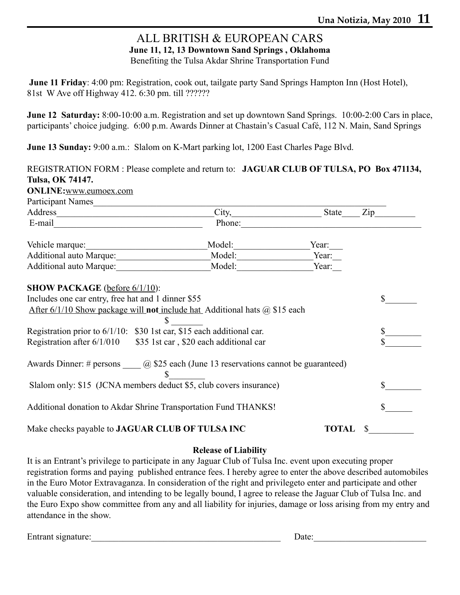#### ALL BRITISH & EUROPEAN CARS **June 11, 12, 13 Downtown Sand Springs , Oklahoma** Benefiting the Tulsa Akdar Shrine Transportation Fund

**June 11 Friday**: 4:00 pm: Registration, cook out, tailgate party Sand Springs Hampton Inn (Host Hotel), 81st W Ave off Highway 412. 6:30 pm. till ??????

**June 12 Saturday:** 8:00-10:00 a.m. Registration and set up downtown Sand Springs. 10:00-2:00 Cars in place, participants' choice judging. 6:00 p.m. Awards Dinner at Chastain's Casual Café, 112 N. Main, Sand Springs

**June 13 Sunday:** 9:00 a.m.: Slalom on K-Mart parking lot, 1200 East Charles Page Blvd.

| Tulsa, OK 74147.<br><b>ONLINE:</b> www.eumoex.com                                                                                                                                                                              |        |              |     |  |  |  |  |
|--------------------------------------------------------------------------------------------------------------------------------------------------------------------------------------------------------------------------------|--------|--------------|-----|--|--|--|--|
| Participant Names                                                                                                                                                                                                              |        |              |     |  |  |  |  |
| Address and the state of the state of the state of the state of the state of the state of the state of the state of the state of the state of the state of the state of the state of the state of the state of the state of th |        | State        | Zip |  |  |  |  |
|                                                                                                                                                                                                                                | Phone: |              |     |  |  |  |  |
| Vehicle marque:<br><u> 1980 - Johann Barbara, martxa a</u>                                                                                                                                                                     | Model: | Year:        |     |  |  |  |  |
| Additional auto Marque:                                                                                                                                                                                                        | Model: | Year:        |     |  |  |  |  |
| Additional auto Marque:                                                                                                                                                                                                        | Model: | Year:        |     |  |  |  |  |
| After $6/1/10$ Show package will not include hat Additional hats $\omega$ \$15 each<br>Registration prior to 6/1/10: \$30 1st car, \$15 each additional car.                                                                   | \$     |              |     |  |  |  |  |
| Registration after $6/1/010$<br>\$35 1st car, \$20 each additional car                                                                                                                                                         |        |              |     |  |  |  |  |
| Awards Dinner: # persons $\qquad \qquad$ \$25 each (June 13 reservations cannot be guaranteed)                                                                                                                                 | S      |              |     |  |  |  |  |
| Slalom only: \$15 (JCNA members deduct \$5, club covers insurance)                                                                                                                                                             |        |              |     |  |  |  |  |
| Additional donation to Akdar Shrine Transportation Fund THANKS!                                                                                                                                                                |        |              |     |  |  |  |  |
| Make checks payable to JAGUAR CLUB OF TULSA INC                                                                                                                                                                                |        | <b>TOTAL</b> |     |  |  |  |  |

#### **Release of Liability**

It is an Entrant's privilege to participate in any Jaguar Club of Tulsa Inc. event upon executing proper registration forms and paying published entrance fees. I hereby agree to enter the above described automobiles in the Euro Motor Extravaganza. In consideration of the right and privilegeto enter and participate and other valuable consideration, and intending to be legally bound, I agree to release the Jaguar Club of Tulsa Inc. and the Euro Expo show committee from any and all liability for injuries, damage or loss arising from my entry and attendance in the show.

Entrant signature:\_\_\_\_\_\_\_\_\_\_\_\_\_\_\_\_\_\_\_\_\_\_\_\_\_\_\_\_\_\_\_\_\_\_\_\_\_\_\_\_\_\_ Date:\_\_\_\_\_\_\_\_\_\_\_\_\_\_\_\_\_\_\_\_\_\_\_\_\_